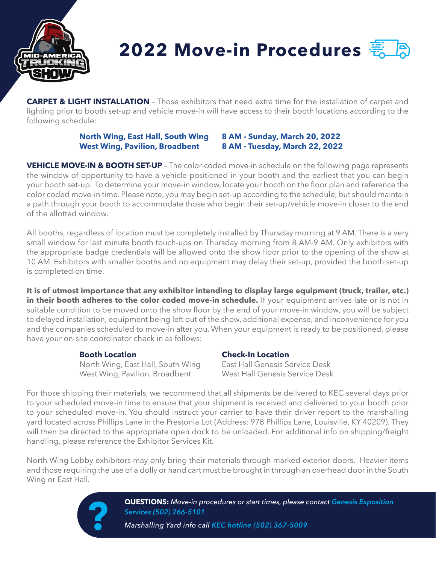

## **2022 Move-in Procedures**

**CARPET & LIGHT INSTALLATION** - Those exhibitors that need extra time for the installation of carpet and lighting prior to booth set-up and vehicle move-in will have access to their booth locations according to the following schedule:

## **North Wing, East Hall, South Wing 8 AM - Sunday, March 20, 2022 West Wing, Pavilion, Broadbent 8 AM - Tuesday, March 22, 2022**

**VEHICLE MOVE-IN & BOOTH SET-UP** – The color-coded move-in schedule on the following page represents the window of opportunity to have a vehicle positioned in your booth and the earliest that you can begin your booth set-up. To determine your move-in window, locate your booth on the floor plan and reference the color coded move-in time. Please note, you may begin set-up according to the schedule, but should maintain a path through your booth to accommodate those who begin their set-up/vehicle move-in closer to the end of the allotted window.

All booths, regardless of location must be completely installed by Thursday morning at 9 AM. There is a very small window for last minute booth touch-ups on Thursday morning from 8 AM-9 AM. Only exhibitors with the appropriate badge credentials will be allowed onto the show floor prior to the opening of the show at 10 AM. Exhibitors with smaller booths and no equipment may delay their set-up, provided the booth set-up is completed on time.

**It is of utmost importance that any exhibitor intending to display large equipment (truck, trailer, etc.) in their booth adheres to the color coded move-in schedule.** If your equipment arrives late or is not in suitable condition to be moved onto the show floor by the end of your move-in window, you will be subject to delayed installation, equipment being left out of the show, additional expense, and inconvenience for you and the companies scheduled to move-in after you. When your equipment is ready to be positioned, please have your on-site coordinator check in as follows:

**Booth Location**<br> **North Wing, East Hall, South Wing**<br> **Check-In Location**<br> **Cast Hall Genesis Service Desk** North Wing, East Hall, South Wing West Wing, Pavilion, Broadbent West Hall Genesis Service Desk

For those shipping their materials, we recommend that all shipments be delivered to KEC several days prior to your scheduled move-in time to ensure that your shipment is received and delivered to your booth prior to your scheduled move-in. You should instruct your carrier to have their driver report to the marshalling yard located across Phillips Lane in the Prestonia Lot (Address: 978 Phillips Lane, Louisville, KY 40209). They will then be directed to the appropriate open dock to be unloaded. For additional info on shipping/freight handling, please reference the Exhibitor Services Kit.

North Wing Lobby exhibitors may only bring their materials through marked exterior doors. Heavier items and those requiring the use of a dolly or hand cart must be brought in through an overhead door in the South Wing or East Hall.